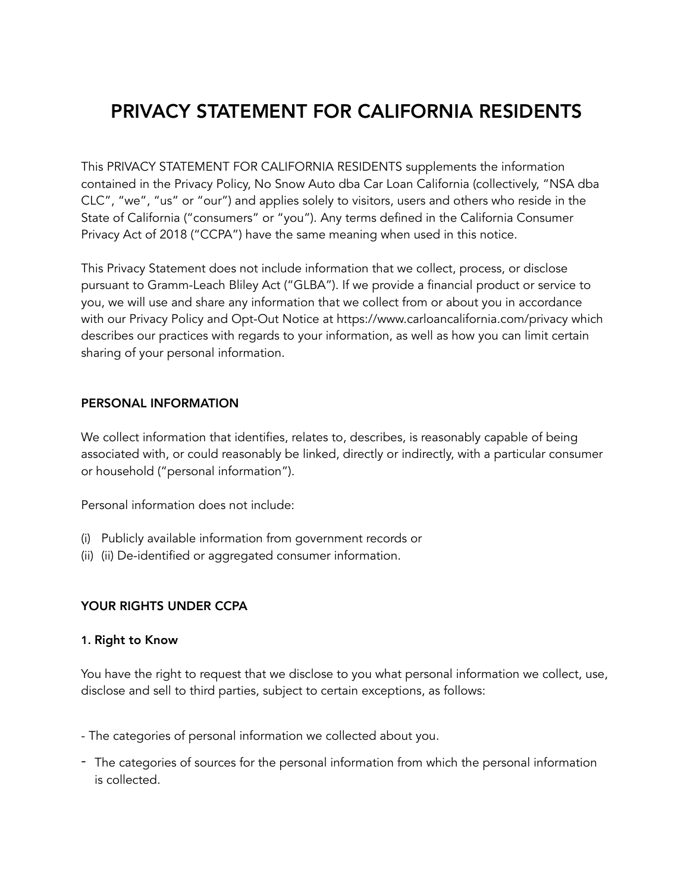# PRIVACY STATEMENT FOR CALIFORNIA RESIDENTS

This PRIVACY STATEMENT FOR CALIFORNIA RESIDENTS supplements the information contained in the Privacy Policy, No Snow Auto dba Car Loan California (collectively, "NSA dba CLC", "we", "us" or "our") and applies solely to visitors, users and others who reside in the State of California ("consumers" or "you"). Any terms defined in the California Consumer Privacy Act of 2018 ("CCPA") have the same meaning when used in this notice.

This Privacy Statement does not include information that we collect, process, or disclose pursuant to Gramm-Leach Bliley Act ("GLBA"). If we provide a financial product or service to you, we will use and share any information that we collect from or about you in accordance with our Privacy Policy and Opt-Out Notice at https://www.carloancalifornia.com/privacy which describes our practices with regards to your information, as well as how you can limit certain sharing of your personal information.

#### PERSONAL INFORMATION

We collect information that identifies, relates to, describes, is reasonably capable of being associated with, or could reasonably be linked, directly or indirectly, with a particular consumer or household ("personal information").

Personal information does not include:

- (i) Publicly available information from government records or
- (ii) (ii) De-identified or aggregated consumer information.

#### YOUR RIGHTS UNDER CCPA

#### 1. Right to Know

You have the right to request that we disclose to you what personal information we collect, use, disclose and sell to third parties, subject to certain exceptions, as follows:

- The categories of personal information we collected about you.
- The categories of sources for the personal information from which the personal information is collected.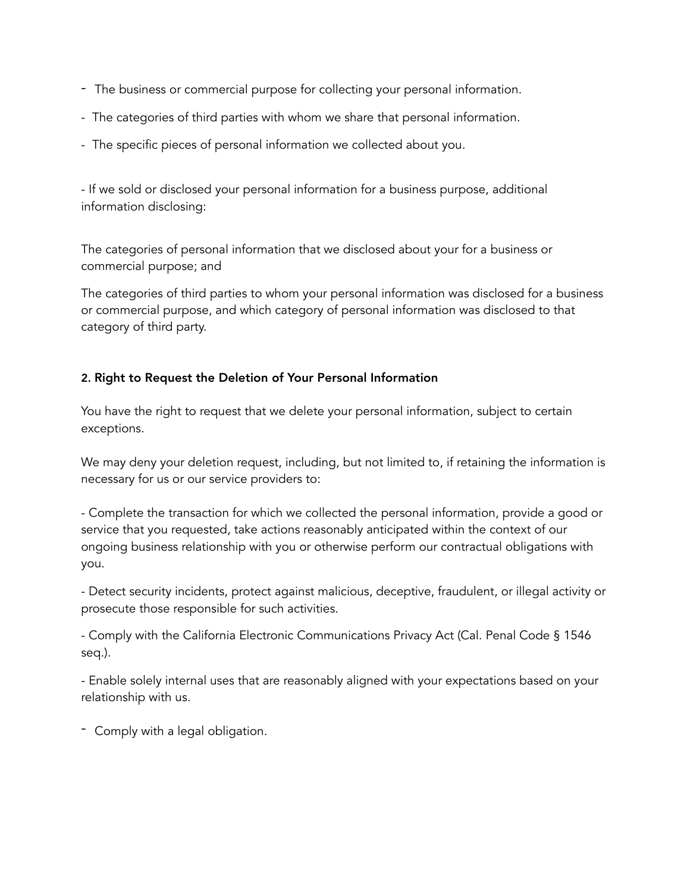- The business or commercial purpose for collecting your personal information.
- The categories of third parties with whom we share that personal information.
- The specific pieces of personal information we collected about you.

- If we sold or disclosed your personal information for a business purpose, additional information disclosing:

The categories of personal information that we disclosed about your for a business or commercial purpose; and

The categories of third parties to whom your personal information was disclosed for a business or commercial purpose, and which category of personal information was disclosed to that category of third party.

## 2. Right to Request the Deletion of Your Personal Information

You have the right to request that we delete your personal information, subject to certain exceptions.

We may deny your deletion request, including, but not limited to, if retaining the information is necessary for us or our service providers to:

- Complete the transaction for which we collected the personal information, provide a good or service that you requested, take actions reasonably anticipated within the context of our ongoing business relationship with you or otherwise perform our contractual obligations with you.

- Detect security incidents, protect against malicious, deceptive, fraudulent, or illegal activity or prosecute those responsible for such activities.

- Comply with the California Electronic Communications Privacy Act (Cal. Penal Code § 1546 seq.).

- Enable solely internal uses that are reasonably aligned with your expectations based on your relationship with us.

- Comply with a legal obligation.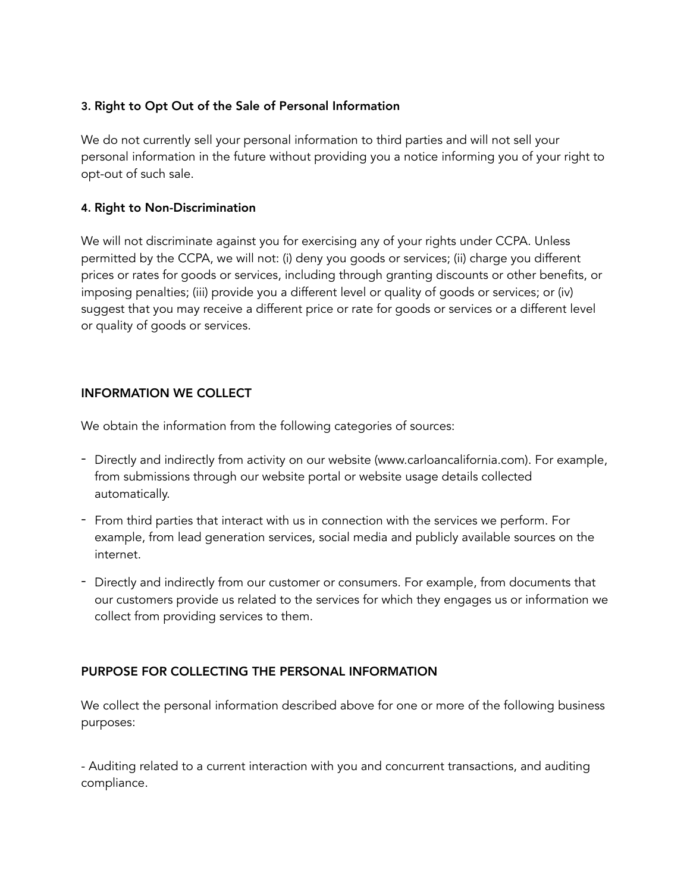#### 3. Right to Opt Out of the Sale of Personal Information

We do not currently sell your personal information to third parties and will not sell your personal information in the future without providing you a notice informing you of your right to opt-out of such sale.

#### 4. Right to Non-Discrimination

We will not discriminate against you for exercising any of your rights under CCPA. Unless permitted by the CCPA, we will not: (i) deny you goods or services; (ii) charge you different prices or rates for goods or services, including through granting discounts or other benefits, or imposing penalties; (iii) provide you a different level or quality of goods or services; or (iv) suggest that you may receive a different price or rate for goods or services or a different level or quality of goods or services.

## INFORMATION WE COLLECT

We obtain the information from the following categories of sources:

- Directly and indirectly from activity on our website (www.carloancalifornia.com). For example, from submissions through our website portal or website usage details collected automatically.
- From third parties that interact with us in connection with the services we perform. For example, from lead generation services, social media and publicly available sources on the internet.
- Directly and indirectly from our customer or consumers. For example, from documents that our customers provide us related to the services for which they engages us or information we collect from providing services to them.

#### PURPOSE FOR COLLECTING THE PERSONAL INFORMATION

We collect the personal information described above for one or more of the following business purposes:

- Auditing related to a current interaction with you and concurrent transactions, and auditing compliance.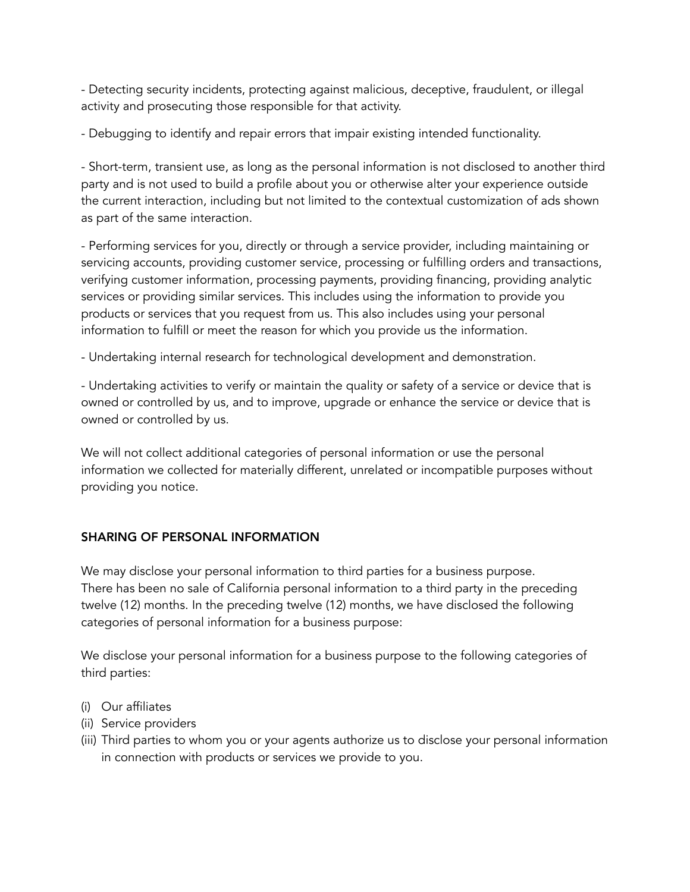- Detecting security incidents, protecting against malicious, deceptive, fraudulent, or illegal activity and prosecuting those responsible for that activity.

- Debugging to identify and repair errors that impair existing intended functionality.

- Short-term, transient use, as long as the personal information is not disclosed to another third party and is not used to build a profile about you or otherwise alter your experience outside the current interaction, including but not limited to the contextual customization of ads shown as part of the same interaction.

- Performing services for you, directly or through a service provider, including maintaining or servicing accounts, providing customer service, processing or fulfilling orders and transactions, verifying customer information, processing payments, providing financing, providing analytic services or providing similar services. This includes using the information to provide you products or services that you request from us. This also includes using your personal information to fulfill or meet the reason for which you provide us the information.

- Undertaking internal research for technological development and demonstration.

- Undertaking activities to verify or maintain the quality or safety of a service or device that is owned or controlled by us, and to improve, upgrade or enhance the service or device that is owned or controlled by us.

We will not collect additional categories of personal information or use the personal information we collected for materially different, unrelated or incompatible purposes without providing you notice.

# SHARING OF PERSONAL INFORMATION

We may disclose your personal information to third parties for a business purpose. There has been no sale of California personal information to a third party in the preceding twelve (12) months. In the preceding twelve (12) months, we have disclosed the following categories of personal information for a business purpose:

We disclose your personal information for a business purpose to the following categories of third parties:

- (i) Our affiliates
- (ii) Service providers
- (iii) Third parties to whom you or your agents authorize us to disclose your personal information in connection with products or services we provide to you.